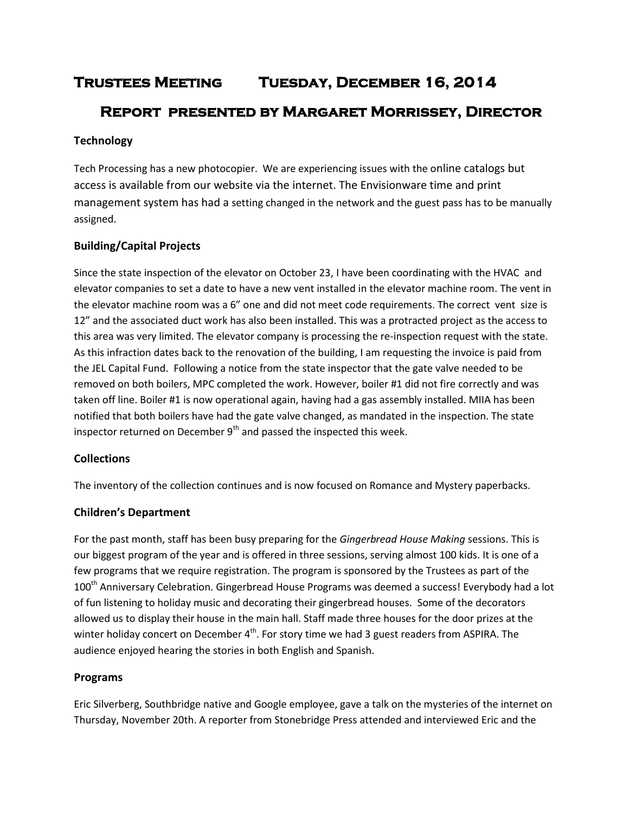# **Trustees Meeting Tuesday, December 16, 2014 Report presented by Margaret Morrissey, Director**

# **Technology**

Tech Processing has a new photocopier. We are experiencing issues with the online catalogs but access is available from our website via the internet. The Envisionware time and print management system has had a setting changed in the network and the guest pass has to be manually assigned.

# **Building/Capital Projects**

Since the state inspection of the elevator on October 23, I have been coordinating with the HVAC and elevator companies to set a date to have a new vent installed in the elevator machine room. The vent in the elevator machine room was a 6" one and did not meet code requirements. The correct vent size is 12" and the associated duct work has also been installed. This was a protracted project as the access to this area was very limited. The elevator company is processing the re-inspection request with the state. As this infraction dates back to the renovation of the building, I am requesting the invoice is paid from the JEL Capital Fund. Following a notice from the state inspector that the gate valve needed to be removed on both boilers, MPC completed the work. However, boiler #1 did not fire correctly and was taken off line. Boiler #1 is now operational again, having had a gas assembly installed. MIIA has been notified that both boilers have had the gate valve changed, as mandated in the inspection. The state inspector returned on December 9<sup>th</sup> and passed the inspected this week.

#### **Collections**

The inventory of the collection continues and is now focused on Romance and Mystery paperbacks.

#### **Children's Department**

For the past month, staff has been busy preparing for the *Gingerbread House Making* sessions. This is our biggest program of the year and is offered in three sessions, serving almost 100 kids. It is one of a few programs that we require registration. The program is sponsored by the Trustees as part of the 100<sup>th</sup> Anniversary Celebration. Gingerbread House Programs was deemed a success! Everybody had a lot of fun listening to holiday music and decorating their gingerbread houses. Some of the decorators allowed us to display their house in the main hall. Staff made three houses for the door prizes at the winter holiday concert on December 4<sup>th</sup>. For story time we had 3 guest readers from ASPIRA. The audience enjoyed hearing the stories in both English and Spanish.

#### **Programs**

Eric Silverberg, Southbridge native and Google employee, gave a talk on the mysteries of the internet on Thursday, November 20th. A reporter from Stonebridge Press attended and interviewed Eric and the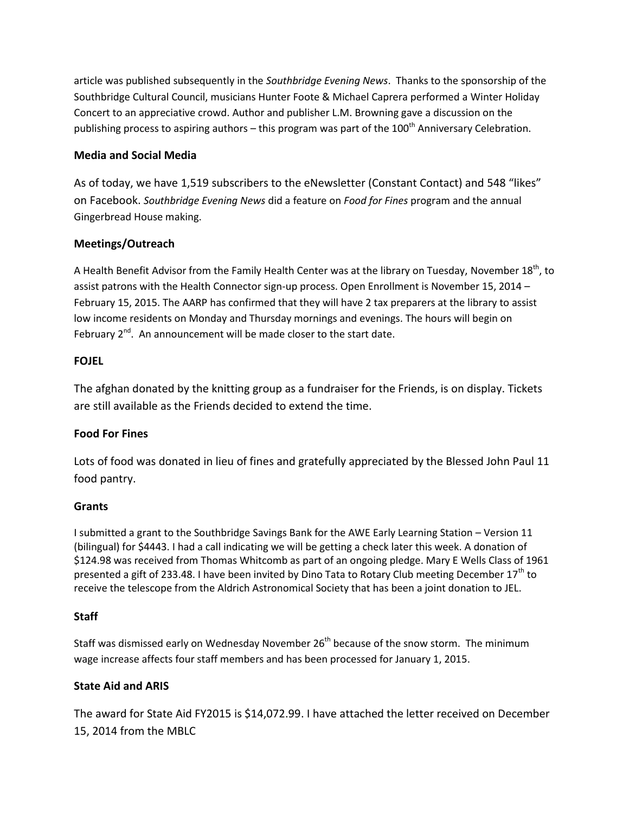article was published subsequently in the *Southbridge Evening News*. Thanks to the sponsorship of the Southbridge Cultural Council, musicians Hunter Foote & Michael Caprera performed a Winter Holiday Concert to an appreciative crowd. Author and publisher L.M. Browning gave a discussion on the publishing process to aspiring authors – this program was part of the  $100<sup>th</sup>$  Anniversary Celebration.

# **Media and Social Media**

As of today, we have 1,519 subscribers to the eNewsletter (Constant Contact) and 548 "likes" on Facebook. *Southbridge Evening News* did a feature on *Food for Fines* program and the annual Gingerbread House making.

# **Meetings/Outreach**

A Health Benefit Advisor from the Family Health Center was at the library on Tuesday, November 18<sup>th</sup>, to assist patrons with the Health Connector sign-up process. Open Enrollment is November 15, 2014 – February 15, 2015. The AARP has confirmed that they will have 2 tax preparers at the library to assist low income residents on Monday and Thursday mornings and evenings. The hours will begin on February 2<sup>nd</sup>. An announcement will be made closer to the start date.

# **FOJEL**

The afghan donated by the knitting group as a fundraiser for the Friends, is on display. Tickets are still available as the Friends decided to extend the time.

#### **Food For Fines**

Lots of food was donated in lieu of fines and gratefully appreciated by the Blessed John Paul 11 food pantry.

#### **Grants**

I submitted a grant to the Southbridge Savings Bank for the AWE Early Learning Station – Version 11 (bilingual) for \$4443. I had a call indicating we will be getting a check later this week. A donation of \$124.98 was received from Thomas Whitcomb as part of an ongoing pledge. Mary E Wells Class of 1961 presented a gift of 233.48. I have been invited by Dino Tata to Rotary Club meeting December  $17<sup>th</sup>$  to receive the telescope from the Aldrich Astronomical Society that has been a joint donation to JEL.

#### **Staff**

Staff was dismissed early on Wednesday November 26<sup>th</sup> because of the snow storm. The minimum wage increase affects four staff members and has been processed for January 1, 2015.

# **State Aid and ARIS**

The award for State Aid FY2015 is \$14,072.99. I have attached the letter received on December 15, 2014 from the MBLC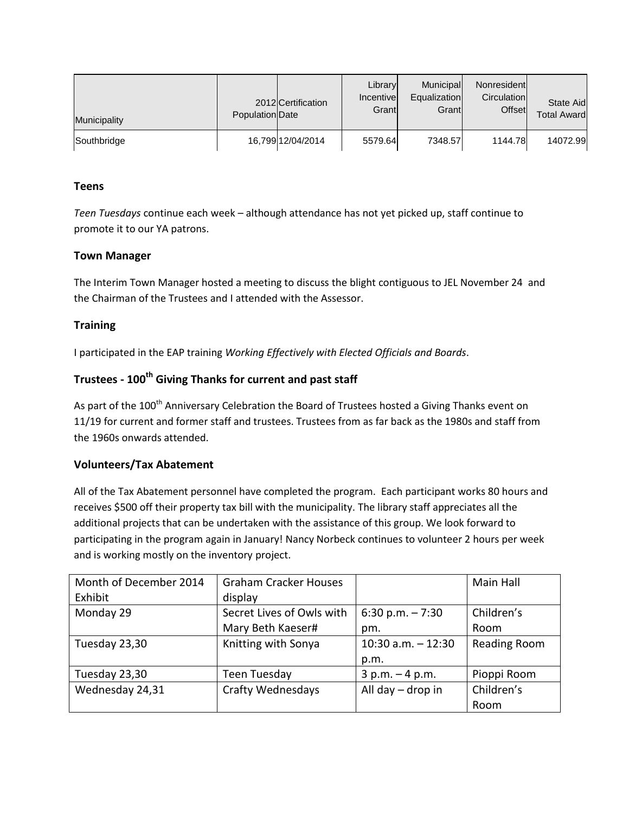| Municipality | Population Date | 2012 Certification | Library<br>Incentive<br>Grant | Municipal<br>Equalization<br>Grant | Nonresident<br>Circulation<br>Offset | State Aid<br><b>Total Award</b> |
|--------------|-----------------|--------------------|-------------------------------|------------------------------------|--------------------------------------|---------------------------------|
| Southbridge  |                 | 16,799 12/04/2014  | 5579.64                       | 7348.57                            | 1144.78                              | 14072.99                        |

# **Teens**

*Teen Tuesdays* continue each week – although attendance has not yet picked up, staff continue to promote it to our YA patrons.

#### **Town Manager**

The Interim Town Manager hosted a meeting to discuss the blight contiguous to JEL November 24 and the Chairman of the Trustees and I attended with the Assessor.

# **Training**

I participated in the EAP training *Working Effectively with Elected Officials and Boards*.

# **Trustees - 100th Giving Thanks for current and past staff**

As part of the 100<sup>th</sup> Anniversary Celebration the Board of Trustees hosted a Giving Thanks event on 11/19 for current and former staff and trustees. Trustees from as far back as the 1980s and staff from the 1960s onwards attended.

#### **Volunteers/Tax Abatement**

All of the Tax Abatement personnel have completed the program. Each participant works 80 hours and receives \$500 off their property tax bill with the municipality. The library staff appreciates all the additional projects that can be undertaken with the assistance of this group. We look forward to participating in the program again in January! Nancy Norbeck continues to volunteer 2 hours per week and is working mostly on the inventory project.

| Month of December 2014 | <b>Graham Cracker Houses</b> |                       | Main Hall    |
|------------------------|------------------------------|-----------------------|--------------|
| Exhibit                | display                      |                       |              |
| Monday 29              | Secret Lives of Owls with    | 6:30 p.m. $-7:30$     | Children's   |
|                        | Mary Beth Kaeser#            | pm.                   | Room         |
| Tuesday 23,30          | Knitting with Sonya          | $10:30$ a.m. $-12:30$ | Reading Room |
|                        |                              | p.m.                  |              |
| Tuesday 23,30          | Teen Tuesday                 | $3 p.m. - 4 p.m.$     | Pioppi Room  |
| Wednesday 24,31        | <b>Crafty Wednesdays</b>     | All day $-$ drop in   | Children's   |
|                        |                              |                       | Room         |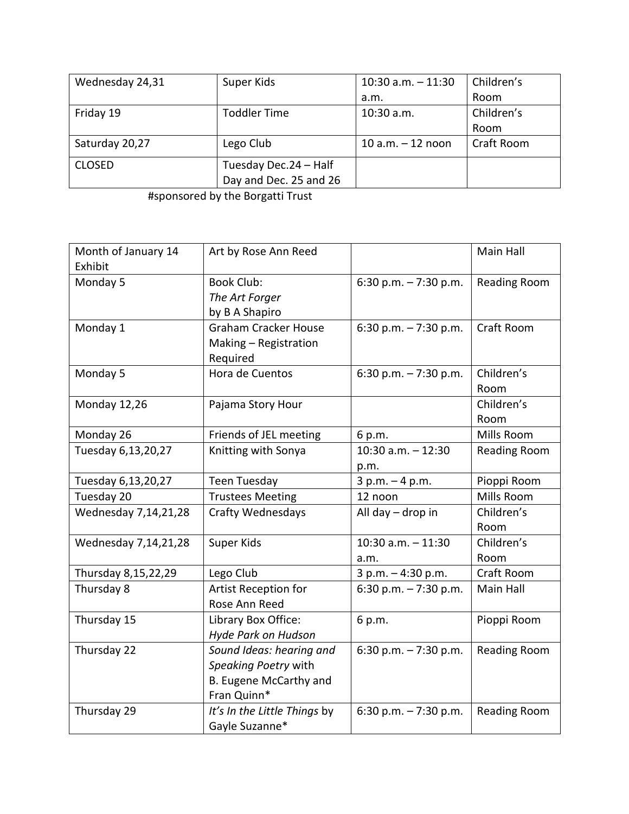| Wednesday 24,31 | Super Kids             | $10:30$ a.m. $-11:30$ | Children's |
|-----------------|------------------------|-----------------------|------------|
|                 |                        | a.m.                  | Room       |
| Friday 19       | <b>Toddler Time</b>    | $10:30$ a.m.          | Children's |
|                 |                        |                       | Room       |
| Saturday 20,27  | Lego Club              | 10 $a.m. - 12$ noon   | Craft Room |
| <b>CLOSED</b>   | Tuesday Dec.24 - Half  |                       |            |
|                 | Day and Dec. 25 and 26 |                       |            |

#sponsored by the Borgatti Trust

| Month of January 14<br>Exhibit | Art by Rose Ann Reed                                                                      |                               | Main Hall           |
|--------------------------------|-------------------------------------------------------------------------------------------|-------------------------------|---------------------|
| Monday 5                       | <b>Book Club:</b><br>The Art Forger<br>by B A Shapiro                                     | 6:30 p.m. $-7:30$ p.m.        | <b>Reading Room</b> |
| Monday 1                       | <b>Graham Cracker House</b><br>Making - Registration<br>Required                          | 6:30 p.m. $-7:30$ p.m.        | Craft Room          |
| Monday 5                       | Hora de Cuentos                                                                           | 6:30 p.m. $-7:30$ p.m.        | Children's<br>Room  |
| Monday 12,26                   | Pajama Story Hour                                                                         |                               | Children's<br>Room  |
| Monday 26                      | Friends of JEL meeting                                                                    | 6 p.m.                        | Mills Room          |
| Tuesday 6,13,20,27             | Knitting with Sonya                                                                       | $10:30$ a.m. $-12:30$<br>p.m. | <b>Reading Room</b> |
| Tuesday 6,13,20,27             | <b>Teen Tuesday</b>                                                                       | $3 p.m. - 4 p.m.$             | Pioppi Room         |
| Tuesday 20                     | <b>Trustees Meeting</b>                                                                   | 12 noon                       | Mills Room          |
| Wednesday 7,14,21,28           | Crafty Wednesdays                                                                         | All day - drop in             | Children's<br>Room  |
| Wednesday 7,14,21,28           | Super Kids                                                                                | 10:30 a.m. - 11:30<br>a.m.    | Children's<br>Room  |
| Thursday 8,15,22,29            | Lego Club                                                                                 | 3 p.m. - 4:30 p.m.            | Craft Room          |
| Thursday 8                     | Artist Reception for<br>Rose Ann Reed                                                     | 6:30 p.m. $-7:30$ p.m.        | Main Hall           |
| Thursday 15                    | Library Box Office:<br>Hyde Park on Hudson                                                | 6 p.m.                        | Pioppi Room         |
| Thursday 22                    | Sound Ideas: hearing and<br>Speaking Poetry with<br>B. Eugene McCarthy and<br>Fran Quinn* | 6:30 p.m. $-7:30$ p.m.        | <b>Reading Room</b> |
| Thursday 29                    | It's In the Little Things by<br>Gayle Suzanne*                                            | 6:30 p.m. $-7:30$ p.m.        | <b>Reading Room</b> |